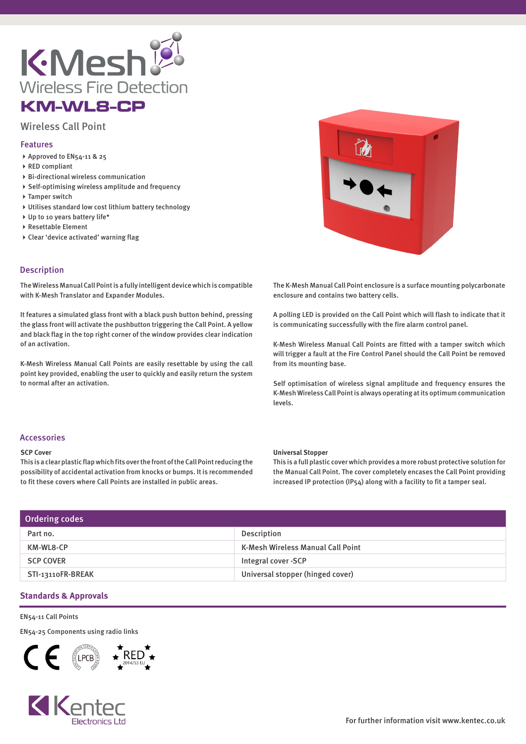

# KM-WL8-CP

# Wireless Call Point

#### Features

- Approved to EN54-11 & 25
- ▶ RED compliant
- Bi-directional wireless communication
- Self-optimising wireless amplitude and frequency
- ▶ Tamper switch
- Utilises standard low cost lithium battery technology
- Up to 10 years battery life\*
- Resettable Element
- Clear 'device activated' warning flag

## Description

The Wireless Manual Call Point is a fully intelligent device which is compatible with K-Mesh Translator and Expander Modules.

It features a simulated glass front with a black push button behind, pressing the glass front will activate the pushbutton triggering the Call Point. A yellow and black flag in the top right corner of the window provides clear indication of an activation.

K-Mesh Wireless Manual Call Points are easily resettable by using the call point key provided, enabling the user to quickly and easily return the system to normal after an activation.



The K-Mesh Manual Call Point enclosure is a surface mounting polycarbonate enclosure and contains two battery cells.

A polling LED is provided on the Call Point which will flash to indicate that it is communicating successfully with the fire alarm control panel.

K-Mesh Wireless Manual Call Points are fitted with a tamper switch which will trigger a fault at the Fire Control Panel should the Call Point be removed from its mounting base.

Self optimisation of wireless signal amplitude and frequency ensures the K-Mesh Wireless Call Point is always operating at its optimum communication levels.

#### Accessories

#### **SCP Cover**

This is a clear plastic flap which fits over the front of the Call Point reducing the possibility of accidental activation from knocks or bumps. It is recommended to fit these covers where Call Points are installed in public areas.

#### **Universal Stopper**

This is a full plastic cover which provides a more robust protective solution for the Manual Call Point. The cover completely encases the Call Point providing increased IP protection (IP54) along with a facility to fit a tamper seal.

| Ordering codes    |                                   |
|-------------------|-----------------------------------|
| Part no.          | Description                       |
| KM-WL8-CP         | K-Mesh Wireless Manual Call Point |
| <b>SCP COVER</b>  | Integral cover -SCP               |
| STI-13110FR-BREAK | Universal stopper (hinged cover)  |

### **Standards & Approvals**

EN54-11 Call Points

EN54-25 Components using radio links